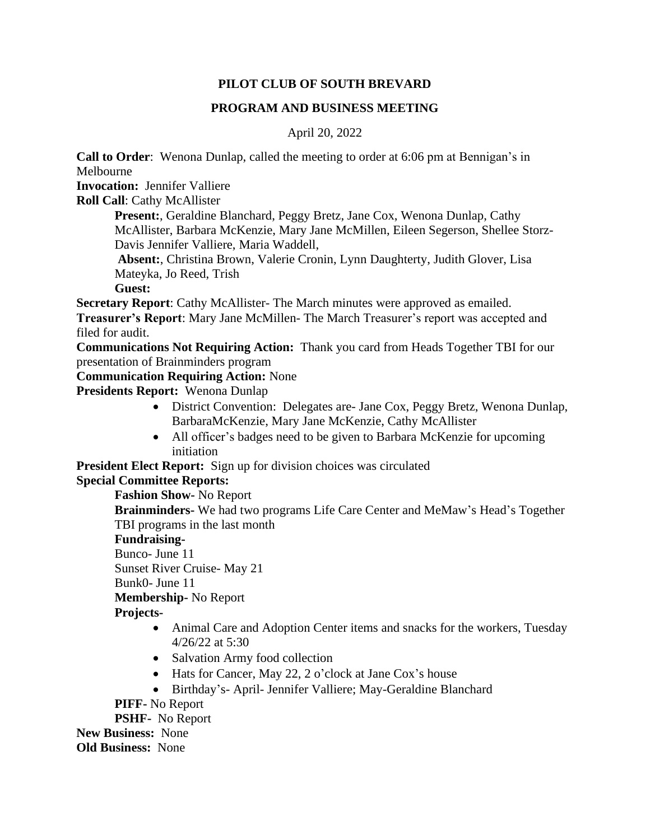#### **PILOT CLUB OF SOUTH BREVARD**

#### **PROGRAM AND BUSINESS MEETING**

## April 20, 2022

**Call to Order**: Wenona Dunlap, called the meeting to order at 6:06 pm at Bennigan's in Melbourne

**Invocation:** Jennifer Valliere

**Roll Call**: Cathy McAllister

**Present:**, Geraldine Blanchard, Peggy Bretz, Jane Cox, Wenona Dunlap, Cathy McAllister, Barbara McKenzie, Mary Jane McMillen, Eileen Segerson, Shellee Storz-Davis Jennifer Valliere, Maria Waddell,

**Absent:**, Christina Brown, Valerie Cronin, Lynn Daughterty, Judith Glover, Lisa Mateyka, Jo Reed, Trish

**Guest:**

**Secretary Report**: Cathy McAllister- The March minutes were approved as emailed.

**Treasurer's Report**: Mary Jane McMillen- The March Treasurer's report was accepted and filed for audit.

**Communications Not Requiring Action:** Thank you card from Heads Together TBI for our presentation of Brainminders program

## **Communication Requiring Action:** None

**Presidents Report:** Wenona Dunlap

- District Convention: Delegates are- Jane Cox, Peggy Bretz, Wenona Dunlap, BarbaraMcKenzie, Mary Jane McKenzie, Cathy McAllister
- All officer's badges need to be given to Barbara McKenzie for upcoming initiation

**President Elect Report:** Sign up for division choices was circulated

# **Special Committee Reports:**

**Fashion Show-** No Report

**Brainminders-** We had two programs Life Care Center and MeMaw's Head's Together TBI programs in the last month

## **Fundraising-**

Bunco- June 11

Sunset River Cruise- May 21

Bunk0- June 11

**Membership-** No Report

# **Projects-**

- Animal Care and Adoption Center items and snacks for the workers, Tuesday 4/26/22 at 5:30
- Salvation Army food collection
- Hats for Cancer, May 22, 2 o'clock at Jane Cox's house
- Birthday's- April- Jennifer Valliere; May-Geraldine Blanchard

**PIFF-** No Report

**PSHF-** No Report **New Business:** None

**Old Business:** None